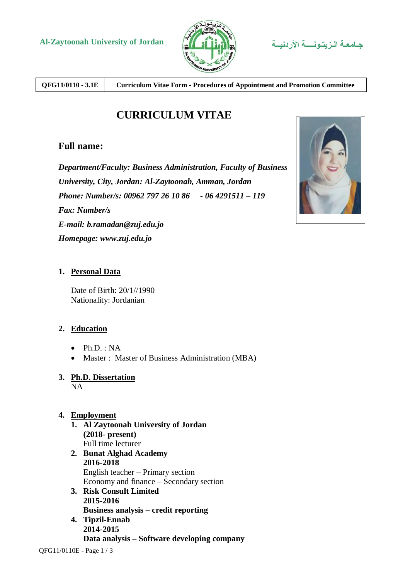

**QFG11/0110 - 3.1E Curriculum Vitae Form - Procedures of Appointment and Promotion Committee**

# **CURRICULUM VITAE**

# **Full name:**

*Department/Faculty: Business Administration, Faculty of Business University, City, Jordan: Al-Zaytoonah, Amman, Jordan Phone: Number/s: 00962 797 26 10 86 - 06 4291511 – 119 Fax: Number/s E-mail: b.ramadan@zuj.edu.jo Homepage: www.zuj.edu.jo*



### **1. Personal Data**

Date of Birth: 20/1//1990 Nationality: Jordanian

### **2. Education**

- $\bullet$  Ph.D. : NA
- Master : Master of Business Administration (MBA)
- **3. Ph.D. Dissertation**

NA

#### **4. Employment**

- **1. Al Zaytoonah University of Jordan (2018- present)**  Full time lecturer **2. Bunat Alghad Academy 2016-2018**
- English teacher Primary section Economy and finance – Secondary section **3. Risk Consult Limited**
- **2015-2016 Business analysis – credit reporting 4. Tipzil-Ennab** 
	- **2014-2015 Data analysis – Software developing company**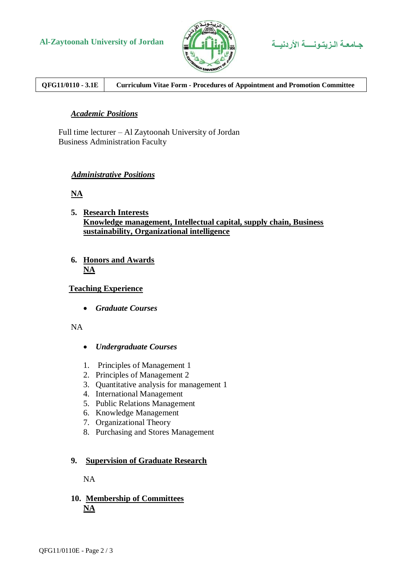



## **QFG11/0110 - 3.1E Curriculum Vitae Form - Procedures of Appointment and Promotion Committee**

#### *Academic Positions*

Full time lecturer – Al Zaytoonah University of Jordan Business Administration Faculty

#### *Administrative Positions*

**NA** 

- **5. Research Interests Knowledge management, Intellectual capital, supply chain, Business sustainability, Organizational intelligence**
- **6. Honors and Awards NA**

#### **Teaching Experience**

*Graduate Courses*

#### NA

- *Undergraduate Courses*
- 1. Principles of Management 1
- 2. Principles of Management 2
- 3. Quantitative analysis for management 1
- 4. International Management
- 5. Public Relations Management
- 6. Knowledge Management
- 7. Organizational Theory
- 8. Purchasing and Stores Management

#### **9. Supervision of Graduate Research**

NA

#### **10. Membership of Committees NA**